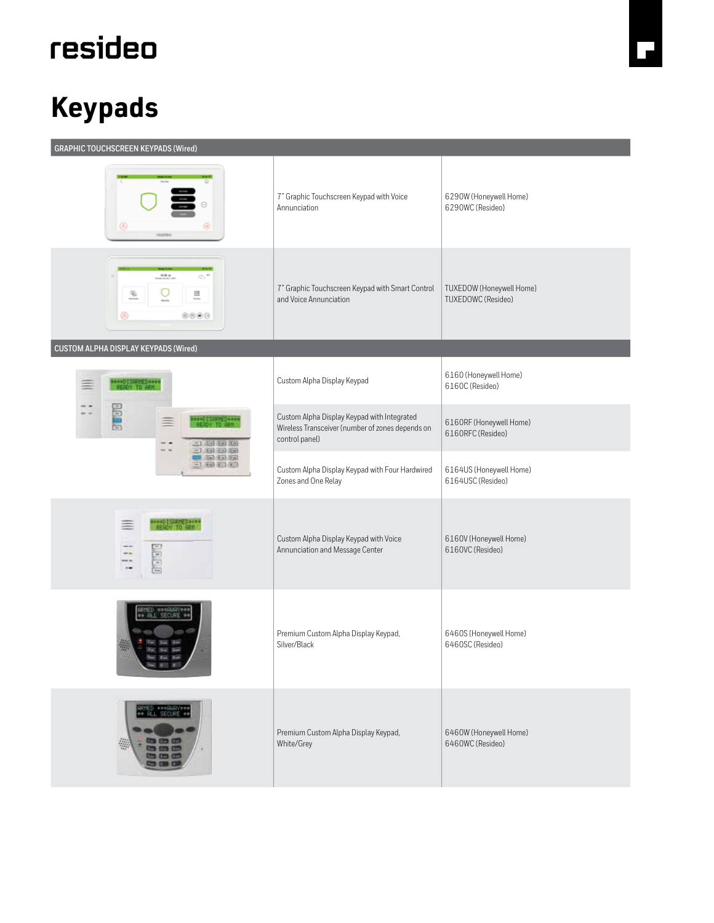## resideo

## **Keypads**

| <b>GRAPHIC TOUCHSCREEN KEYPADS (Wired)</b>                                                  |                                                                                                                   |                                                       |  |
|---------------------------------------------------------------------------------------------|-------------------------------------------------------------------------------------------------------------------|-------------------------------------------------------|--|
| ⊛                                                                                           | 7" Graphic Touchscreen Keypad with Voice<br>Annunciation                                                          | 6290W (Honeywell Home)<br>6290WC (Resideo)            |  |
| $-0.01 + 0.01$<br>65 <sup>m</sup><br>$\frac{m_{\rm B}}{2m}$<br>U<br>Щ<br>learn<br>⊛<br>0000 | 7" Graphic Touchscreen Keypad with Smart Control<br>and Voice Annunciation                                        | TUXEDOW (Honeywell Home)<br><b>TUXEDOWC</b> (Resideo) |  |
| CUSTOM ALPHA DISPLAY KEYPADS (Wired)                                                        |                                                                                                                   |                                                       |  |
| <b>WHAT ISSUED WHO</b><br>KENDY TO ARM                                                      | Custom Alpha Display Keypad                                                                                       | 6160 (Honeywell Home)<br>6160C (Resideo)              |  |
| Ē<br>Ξ<br>$-1$ (a) (a) (b)<br>$-1.00100000$<br><b>DEL GEORGIA</b><br>三国国的国                  | Custom Alpha Display Keypad with Integrated<br>Wireless Transceiver (number of zones depends on<br>control panel) | 6160RF (Honeywell Home)<br>6160RFC (Resideo)          |  |
|                                                                                             | Custom Alpha Display Keypad with Four Hardwired<br>Zones and One Relay                                            | 6164US (Honeywell Home)<br>6164USC (Resideo)          |  |
| <b>ANALO ISANYEDAYAN</b><br>$=$<br>ELOT                                                     | Custom Alpha Display Keypad with Voice<br>Annunciation and Message Center                                         | 6160V (Honeywell Home)<br>6160VC (Resideo)            |  |
| ATED ***AWY**<br>** Al SEDJRE *                                                             | Premium Custom Alpha Display Keypad,<br>Silver/Black                                                              | 6460S (Honeywell Home)<br>6460SC (Resideo)            |  |
| - 62                                                                                        | Premium Custom Alpha Display Keypad,<br>White/Grey                                                                | 6460W (Honeywell Home)<br>6460WC (Resideo)            |  |